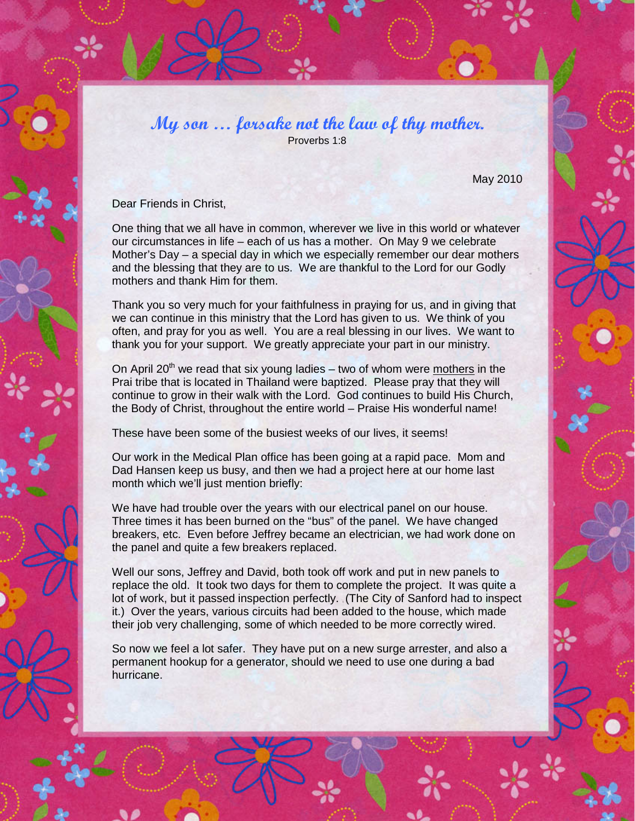My son  $\ldots$  forsake not the law of thy mother. Proverbs 1:8

May 2010

Dear Friends in Christ,

One thing that we all have in common, wherever we live in this world or whatever our circumstances in life – each of us has a mother. On May 9 we celebrate Mother's Day – a special day in which we especially remember our dear mothers and the blessing that they are to us. We are thankful to the Lord for our Godly mothers and thank Him for them.

Thank you so very much for your faithfulness in praying for us, and in giving that we can continue in this ministry that the Lord has given to us. We think of you often, and pray for you as well. You are a real blessing in our lives. We want to thank you for your support. We greatly appreciate your part in our ministry.

On April 20<sup>th</sup> we read that six young ladies – two of whom were mothers in the Prai tribe that is located in Thailand were baptized. Please pray that they will continue to grow in their walk with the Lord. God continues to build His Church, the Body of Christ, throughout the entire world – Praise His wonderful name!

These have been some of the busiest weeks of our lives, it seems!

Our work in the Medical Plan office has been going at a rapid pace. Mom and Dad Hansen keep us busy, and then we had a project here at our home last month which we'll just mention briefly:

We have had trouble over the years with our electrical panel on our house. Three times it has been burned on the "bus" of the panel. We have changed breakers, etc. Even before Jeffrey became an electrician, we had work done on the panel and quite a few breakers replaced.

Well our sons, Jeffrey and David, both took off work and put in new panels to replace the old. It took two days for them to complete the project. It was quite a lot of work, but it passed inspection perfectly. (The City of Sanford had to inspect it.) Over the years, various circuits had been added to the house, which made their job very challenging, some of which needed to be more correctly wired.

So now we feel a lot safer. They have put on a new surge arrester, and also a permanent hookup for a generator, should we need to use one during a bad hurricane.